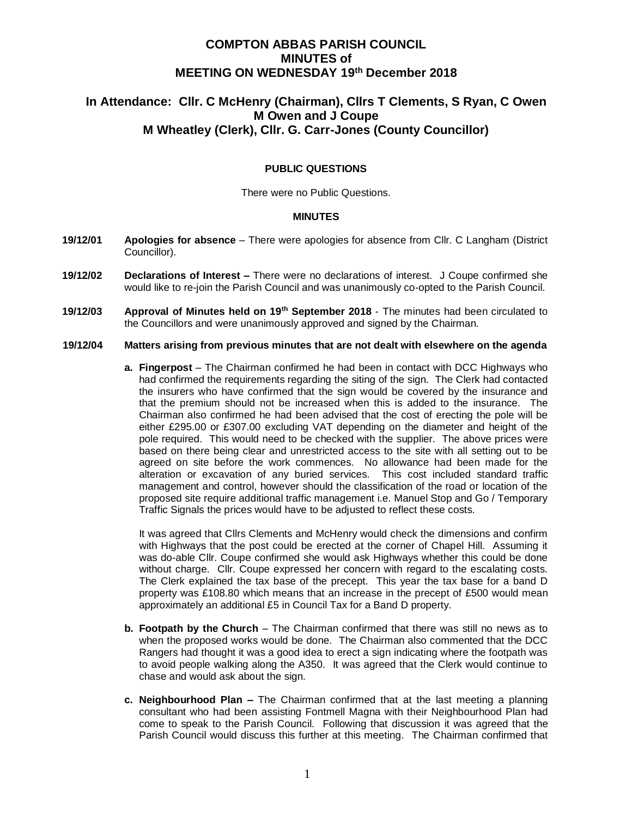# **COMPTON ABBAS PARISH COUNCIL MINUTES of MEETING ON WEDNESDAY 19th December 2018**

# **In Attendance: Cllr. C McHenry (Chairman), Cllrs T Clements, S Ryan, C Owen M Owen and J Coupe M Wheatley (Clerk), Cllr. G. Carr-Jones (County Councillor)**

# **PUBLIC QUESTIONS**

There were no Public Questions.

### **MINUTES**

- **19/12/01 Apologies for absence**  There were apologies for absence from Cllr. C Langham (District Councillor).
- **19/12/02 Declarations of Interest –** There were no declarations of interest. J Coupe confirmed she would like to re-join the Parish Council and was unanimously co-opted to the Parish Council.
- **19/12/03 Approval of Minutes held on 19th September 2018**  The minutes had been circulated to the Councillors and were unanimously approved and signed by the Chairman.

#### **19/12/04 Matters arising from previous minutes that are not dealt with elsewhere on the agenda**

**a. Fingerpost** – The Chairman confirmed he had been in contact with DCC Highways who had confirmed the requirements regarding the siting of the sign. The Clerk had contacted the insurers who have confirmed that the sign would be covered by the insurance and that the premium should not be increased when this is added to the insurance. The Chairman also confirmed he had been advised that the cost of erecting the pole will be either £295.00 or £307.00 excluding VAT depending on the diameter and height of the pole required. This would need to be checked with the supplier. The above prices were based on there being clear and unrestricted access to the site with all setting out to be agreed on site before the work commences. No allowance had been made for the alteration or excavation of any buried services.This cost included standard traffic management and control, however should the classification of the road or location of the proposed site require additional traffic management i.e. Manuel Stop and Go / Temporary Traffic Signals the prices would have to be adjusted to reflect these costs.

It was agreed that Cllrs Clements and McHenry would check the dimensions and confirm with Highways that the post could be erected at the corner of Chapel Hill. Assuming it was do-able Cllr. Coupe confirmed she would ask Highways whether this could be done without charge. Cllr. Coupe expressed her concern with regard to the escalating costs. The Clerk explained the tax base of the precept. This year the tax base for a band D property was £108.80 which means that an increase in the precept of £500 would mean approximately an additional £5 in Council Tax for a Band D property.

- **b. Footpath by the Church** The Chairman confirmed that there was still no news as to when the proposed works would be done. The Chairman also commented that the DCC Rangers had thought it was a good idea to erect a sign indicating where the footpath was to avoid people walking along the A350. It was agreed that the Clerk would continue to chase and would ask about the sign.
- **c. Neighbourhood Plan –** The Chairman confirmed that at the last meeting a planning consultant who had been assisting Fontmell Magna with their Neighbourhood Plan had come to speak to the Parish Council. Following that discussion it was agreed that the Parish Council would discuss this further at this meeting. The Chairman confirmed that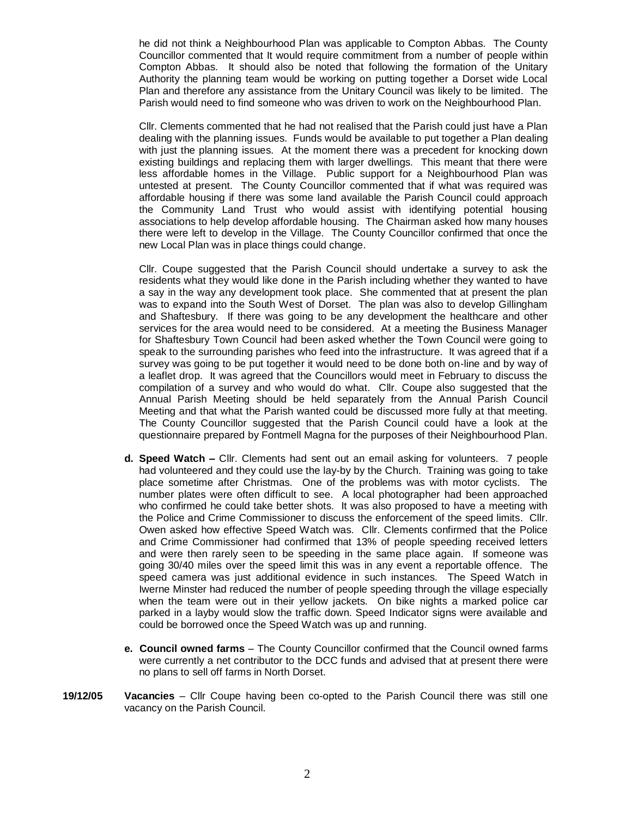he did not think a Neighbourhood Plan was applicable to Compton Abbas. The County Councillor commented that It would require commitment from a number of people within Compton Abbas. It should also be noted that following the formation of the Unitary Authority the planning team would be working on putting together a Dorset wide Local Plan and therefore any assistance from the Unitary Council was likely to be limited. The Parish would need to find someone who was driven to work on the Neighbourhood Plan.

Cllr. Clements commented that he had not realised that the Parish could just have a Plan dealing with the planning issues. Funds would be available to put together a Plan dealing with just the planning issues. At the moment there was a precedent for knocking down existing buildings and replacing them with larger dwellings. This meant that there were less affordable homes in the Village. Public support for a Neighbourhood Plan was untested at present. The County Councillor commented that if what was required was affordable housing if there was some land available the Parish Council could approach the Community Land Trust who would assist with identifying potential housing associations to help develop affordable housing. The Chairman asked how many houses there were left to develop in the Village. The County Councillor confirmed that once the new Local Plan was in place things could change.

Cllr. Coupe suggested that the Parish Council should undertake a survey to ask the residents what they would like done in the Parish including whether they wanted to have a say in the way any development took place. She commented that at present the plan was to expand into the South West of Dorset. The plan was also to develop Gillingham and Shaftesbury. If there was going to be any development the healthcare and other services for the area would need to be considered. At a meeting the Business Manager for Shaftesbury Town Council had been asked whether the Town Council were going to speak to the surrounding parishes who feed into the infrastructure. It was agreed that if a survey was going to be put together it would need to be done both on-line and by way of a leaflet drop. It was agreed that the Councillors would meet in February to discuss the compilation of a survey and who would do what. Cllr. Coupe also suggested that the Annual Parish Meeting should be held separately from the Annual Parish Council Meeting and that what the Parish wanted could be discussed more fully at that meeting. The County Councillor suggested that the Parish Council could have a look at the questionnaire prepared by Fontmell Magna for the purposes of their Neighbourhood Plan.

- **d. Speed Watch –** Cllr. Clements had sent out an email asking for volunteers. 7 people had volunteered and they could use the lay-by by the Church. Training was going to take place sometime after Christmas. One of the problems was with motor cyclists. The number plates were often difficult to see. A local photographer had been approached who confirmed he could take better shots. It was also proposed to have a meeting with the Police and Crime Commissioner to discuss the enforcement of the speed limits. Cllr. Owen asked how effective Speed Watch was. Cllr. Clements confirmed that the Police and Crime Commissioner had confirmed that 13% of people speeding received letters and were then rarely seen to be speeding in the same place again. If someone was going 30/40 miles over the speed limit this was in any event a reportable offence. The speed camera was just additional evidence in such instances. The Speed Watch in Iwerne Minster had reduced the number of people speeding through the village especially when the team were out in their yellow jackets. On bike nights a marked police car parked in a layby would slow the traffic down. Speed Indicator signs were available and could be borrowed once the Speed Watch was up and running.
- **e. Council owned farms**  The County Councillor confirmed that the Council owned farms were currently a net contributor to the DCC funds and advised that at present there were no plans to sell off farms in North Dorset.
- **19/12/05 Vacancies** Cllr Coupe having been co-opted to the Parish Council there was still one vacancy on the Parish Council.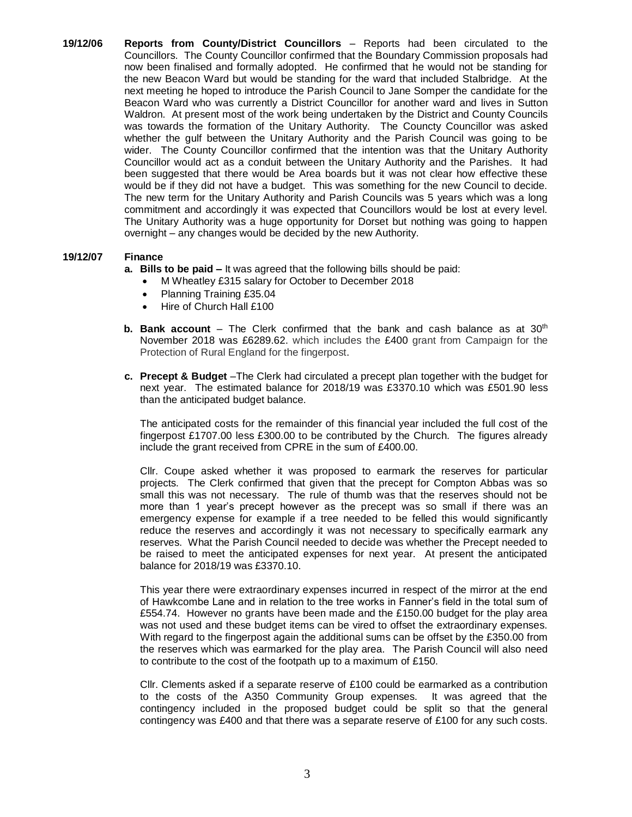**19/12/06 Reports from County/District Councillors** – Reports had been circulated to the Councillors. The County Councillor confirmed that the Boundary Commission proposals had now been finalised and formally adopted. He confirmed that he would not be standing for the new Beacon Ward but would be standing for the ward that included Stalbridge. At the next meeting he hoped to introduce the Parish Council to Jane Somper the candidate for the Beacon Ward who was currently a District Councillor for another ward and lives in Sutton Waldron. At present most of the work being undertaken by the District and County Councils was towards the formation of the Unitary Authority. The Councty Councillor was asked whether the gulf between the Unitary Authority and the Parish Council was going to be wider. The County Councillor confirmed that the intention was that the Unitary Authority Councillor would act as a conduit between the Unitary Authority and the Parishes. It had been suggested that there would be Area boards but it was not clear how effective these would be if they did not have a budget. This was something for the new Council to decide. The new term for the Unitary Authority and Parish Councils was 5 years which was a long commitment and accordingly it was expected that Councillors would be lost at every level. The Unitary Authority was a huge opportunity for Dorset but nothing was going to happen overnight – any changes would be decided by the new Authority.

## **19/12/07 Finance**

**a. Bills to be paid –** It was agreed that the following bills should be paid:

- M Wheatley £315 salary for October to December 2018
- Planning Training £35.04
- Hire of Church Hall £100
- **b.** Bank account The Clerk confirmed that the bank and cash balance as at  $30<sup>th</sup>$ November 2018 was £6289.62. which includes the £400 grant from Campaign for the Protection of Rural England for the fingerpost.
- **c. Precept & Budget** –The Clerk had circulated a precept plan together with the budget for next year. The estimated balance for 2018/19 was £3370.10 which was £501.90 less than the anticipated budget balance.

The anticipated costs for the remainder of this financial year included the full cost of the fingerpost £1707.00 less £300.00 to be contributed by the Church. The figures already include the grant received from CPRE in the sum of £400.00.

Cllr. Coupe asked whether it was proposed to earmark the reserves for particular projects. The Clerk confirmed that given that the precept for Compton Abbas was so small this was not necessary. The rule of thumb was that the reserves should not be more than 1 year's precept however as the precept was so small if there was an emergency expense for example if a tree needed to be felled this would significantly reduce the reserves and accordingly it was not necessary to specifically earmark any reserves. What the Parish Council needed to decide was whether the Precept needed to be raised to meet the anticipated expenses for next year. At present the anticipated balance for 2018/19 was £3370.10.

This year there were extraordinary expenses incurred in respect of the mirror at the end of Hawkcombe Lane and in relation to the tree works in Fanner's field in the total sum of £554.74. However no grants have been made and the £150.00 budget for the play area was not used and these budget items can be vired to offset the extraordinary expenses. With regard to the fingerpost again the additional sums can be offset by the £350.00 from the reserves which was earmarked for the play area. The Parish Council will also need to contribute to the cost of the footpath up to a maximum of £150.

Cllr. Clements asked if a separate reserve of £100 could be earmarked as a contribution to the costs of the A350 Community Group expenses. It was agreed that the contingency included in the proposed budget could be split so that the general contingency was £400 and that there was a separate reserve of £100 for any such costs.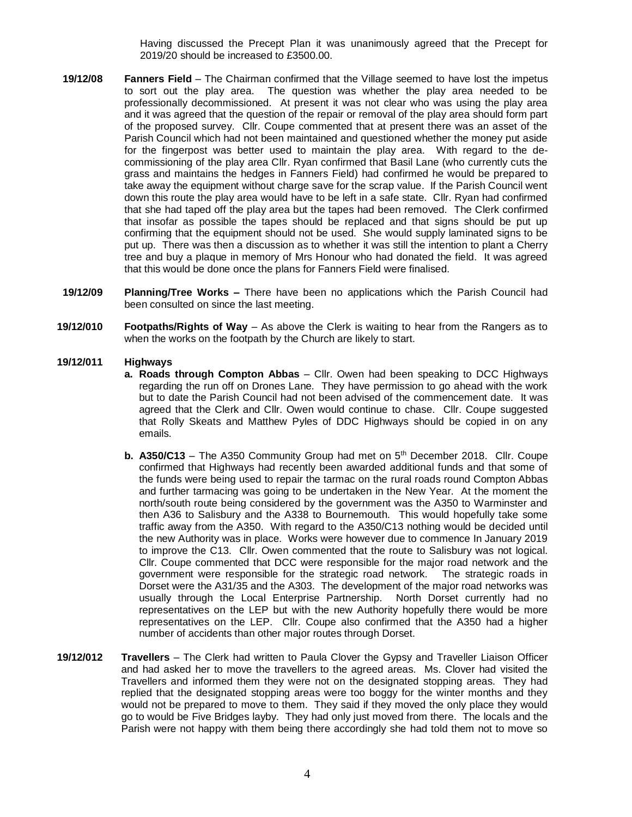Having discussed the Precept Plan it was unanimously agreed that the Precept for 2019/20 should be increased to £3500.00.

- **19/12/08 Fanners Field** The Chairman confirmed that the Village seemed to have lost the impetus to sort out the play area. The question was whether the play area needed to be professionally decommissioned. At present it was not clear who was using the play area and it was agreed that the question of the repair or removal of the play area should form part of the proposed survey. Cllr. Coupe commented that at present there was an asset of the Parish Council which had not been maintained and questioned whether the money put aside for the fingerpost was better used to maintain the play area. With regard to the decommissioning of the play area Cllr. Ryan confirmed that Basil Lane (who currently cuts the grass and maintains the hedges in Fanners Field) had confirmed he would be prepared to take away the equipment without charge save for the scrap value. If the Parish Council went down this route the play area would have to be left in a safe state. Cllr. Ryan had confirmed that she had taped off the play area but the tapes had been removed. The Clerk confirmed that insofar as possible the tapes should be replaced and that signs should be put up confirming that the equipment should not be used. She would supply laminated signs to be put up. There was then a discussion as to whether it was still the intention to plant a Cherry tree and buy a plaque in memory of Mrs Honour who had donated the field. It was agreed that this would be done once the plans for Fanners Field were finalised.
- **19/12/09 Planning/Tree Works –** There have been no applications which the Parish Council had been consulted on since the last meeting.
- **19/12/010 Footpaths/Rights of Way**  As above the Clerk is waiting to hear from the Rangers as to when the works on the footpath by the Church are likely to start.

#### **19/12/011 Highways**

- **a. Roads through Compton Abbas** Cllr. Owen had been speaking to DCC Highways regarding the run off on Drones Lane. They have permission to go ahead with the work but to date the Parish Council had not been advised of the commencement date. It was agreed that the Clerk and Cllr. Owen would continue to chase. Cllr. Coupe suggested that Rolly Skeats and Matthew Pyles of DDC Highways should be copied in on any emails.
- **b. A350/C13** The A350 Community Group had met on 5<sup>th</sup> December 2018. Cllr. Coupe confirmed that Highways had recently been awarded additional funds and that some of the funds were being used to repair the tarmac on the rural roads round Compton Abbas and further tarmacing was going to be undertaken in the New Year. At the moment the north/south route being considered by the government was the A350 to Warminster and then A36 to Salisbury and the A338 to Bournemouth. This would hopefully take some traffic away from the A350. With regard to the A350/C13 nothing would be decided until the new Authority was in place. Works were however due to commence In January 2019 to improve the C13. Cllr. Owen commented that the route to Salisbury was not logical. Cllr. Coupe commented that DCC were responsible for the major road network and the government were responsible for the strategic road network. The strategic roads in Dorset were the A31/35 and the A303. The development of the major road networks was usually through the Local Enterprise Partnership. North Dorset currently had no representatives on the LEP but with the new Authority hopefully there would be more representatives on the LEP. Cllr. Coupe also confirmed that the A350 had a higher number of accidents than other major routes through Dorset.
- **19/12/012 Travellers**  The Clerk had written to Paula Clover the Gypsy and Traveller Liaison Officer and had asked her to move the travellers to the agreed areas. Ms. Clover had visited the Travellers and informed them they were not on the designated stopping areas. They had replied that the designated stopping areas were too boggy for the winter months and they would not be prepared to move to them. They said if they moved the only place they would go to would be Five Bridges layby. They had only just moved from there. The locals and the Parish were not happy with them being there accordingly she had told them not to move so